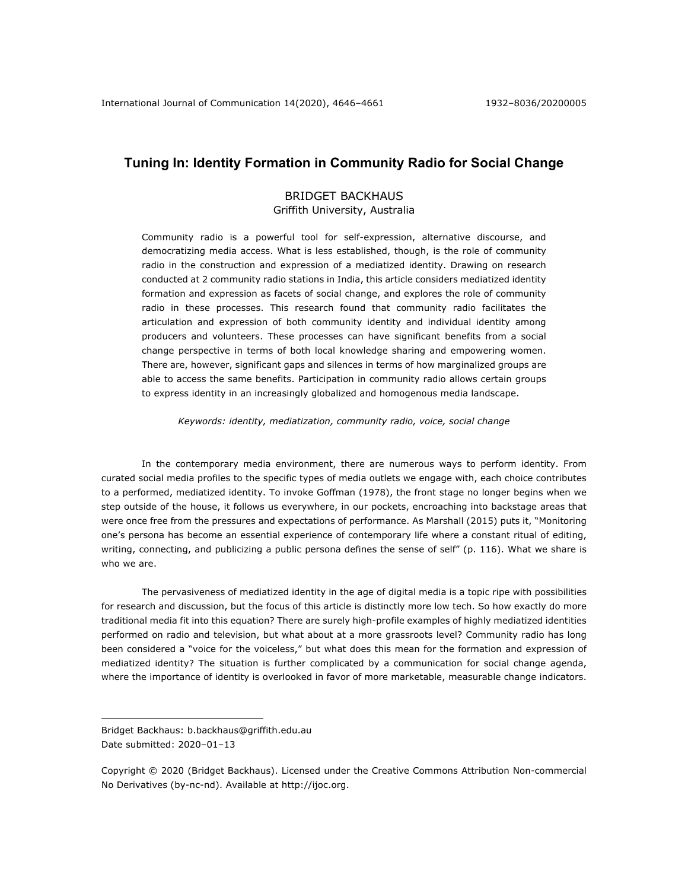# **Tuning In: Identity Formation in Community Radio for Social Change**

# BRIDGET BACKHAUS

# Griffith University, Australia

Community radio is a powerful tool for self-expression, alternative discourse, and democratizing media access. What is less established, though, is the role of community radio in the construction and expression of a mediatized identity. Drawing on research conducted at 2 community radio stations in India, this article considers mediatized identity formation and expression as facets of social change, and explores the role of community radio in these processes. This research found that community radio facilitates the articulation and expression of both community identity and individual identity among producers and volunteers. These processes can have significant benefits from a social change perspective in terms of both local knowledge sharing and empowering women. There are, however, significant gaps and silences in terms of how marginalized groups are able to access the same benefits. Participation in community radio allows certain groups to express identity in an increasingly globalized and homogenous media landscape.

*Keywords: identity, mediatization, community radio, voice, social change*

In the contemporary media environment, there are numerous ways to perform identity. From curated social media profiles to the specific types of media outlets we engage with, each choice contributes to a performed, mediatized identity. To invoke Goffman (1978), the front stage no longer begins when we step outside of the house, it follows us everywhere, in our pockets, encroaching into backstage areas that were once free from the pressures and expectations of performance. As Marshall (2015) puts it, "Monitoring one's persona has become an essential experience of contemporary life where a constant ritual of editing, writing, connecting, and publicizing a public persona defines the sense of self" (p. 116). What we share is who we are.

The pervasiveness of mediatized identity in the age of digital media is a topic ripe with possibilities for research and discussion, but the focus of this article is distinctly more low tech. So how exactly do more traditional media fit into this equation? There are surely high-profile examples of highly mediatized identities performed on radio and television, but what about at a more grassroots level? Community radio has long been considered a "voice for the voiceless," but what does this mean for the formation and expression of mediatized identity? The situation is further complicated by a communication for social change agenda, where the importance of identity is overlooked in favor of more marketable, measurable change indicators.

Bridget Backhaus: b.backhaus@griffith.edu.au Date submitted: 2020-01-13

Copyright © 2020 (Bridget Backhaus). Licensed under the Creative Commons Attribution Non-commercial No Derivatives (by-nc-nd). Available at http://ijoc.org.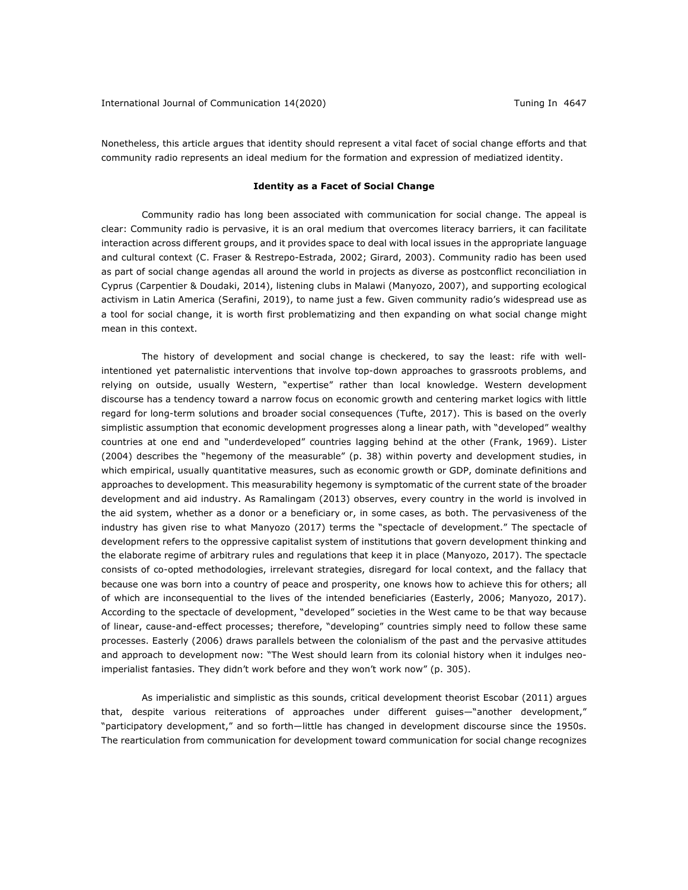Nonetheless, this article argues that identity should represent a vital facet of social change efforts and that community radio represents an ideal medium for the formation and expression of mediatized identity.

## **Identity as a Facet of Social Change**

Community radio has long been associated with communication for social change. The appeal is clear: Community radio is pervasive, it is an oral medium that overcomes literacy barriers, it can facilitate interaction across different groups, and it provides space to deal with local issues in the appropriate language and cultural context (C. Fraser & Restrepo-Estrada, 2002; Girard, 2003). Community radio has been used as part of social change agendas all around the world in projects as diverse as postconflict reconciliation in Cyprus (Carpentier & Doudaki, 2014), listening clubs in Malawi (Manyozo, 2007), and supporting ecological activism in Latin America (Serafini, 2019), to name just a few. Given community radio's widespread use as a tool for social change, it is worth first problematizing and then expanding on what social change might mean in this context.

The history of development and social change is checkered, to say the least: rife with wellintentioned yet paternalistic interventions that involve top-down approaches to grassroots problems, and relying on outside, usually Western, "expertise" rather than local knowledge. Western development discourse has a tendency toward a narrow focus on economic growth and centering market logics with little regard for long-term solutions and broader social consequences (Tufte, 2017). This is based on the overly simplistic assumption that economic development progresses along a linear path, with "developed" wealthy countries at one end and "underdeveloped" countries lagging behind at the other (Frank, 1969). Lister (2004) describes the "hegemony of the measurable" (p. 38) within poverty and development studies, in which empirical, usually quantitative measures, such as economic growth or GDP, dominate definitions and approaches to development. This measurability hegemony is symptomatic of the current state of the broader development and aid industry. As Ramalingam (2013) observes, every country in the world is involved in the aid system, whether as a donor or a beneficiary or, in some cases, as both. The pervasiveness of the industry has given rise to what Manyozo (2017) terms the "spectacle of development." The spectacle of development refers to the oppressive capitalist system of institutions that govern development thinking and the elaborate regime of arbitrary rules and regulations that keep it in place (Manyozo, 2017). The spectacle consists of co-opted methodologies, irrelevant strategies, disregard for local context, and the fallacy that because one was born into a country of peace and prosperity, one knows how to achieve this for others; all of which are inconsequential to the lives of the intended beneficiaries (Easterly, 2006; Manyozo, 2017). According to the spectacle of development, "developed" societies in the West came to be that way because of linear, cause-and-effect processes; therefore, "developing" countries simply need to follow these same processes. Easterly (2006) draws parallels between the colonialism of the past and the pervasive attitudes and approach to development now: "The West should learn from its colonial history when it indulges neoimperialist fantasies. They didn't work before and they won't work now" (p. 305).

As imperialistic and simplistic as this sounds, critical development theorist Escobar (2011) argues that, despite various reiterations of approaches under different guises—"another development," "participatory development," and so forth—little has changed in development discourse since the 1950s. The rearticulation from communication for development toward communication for social change recognizes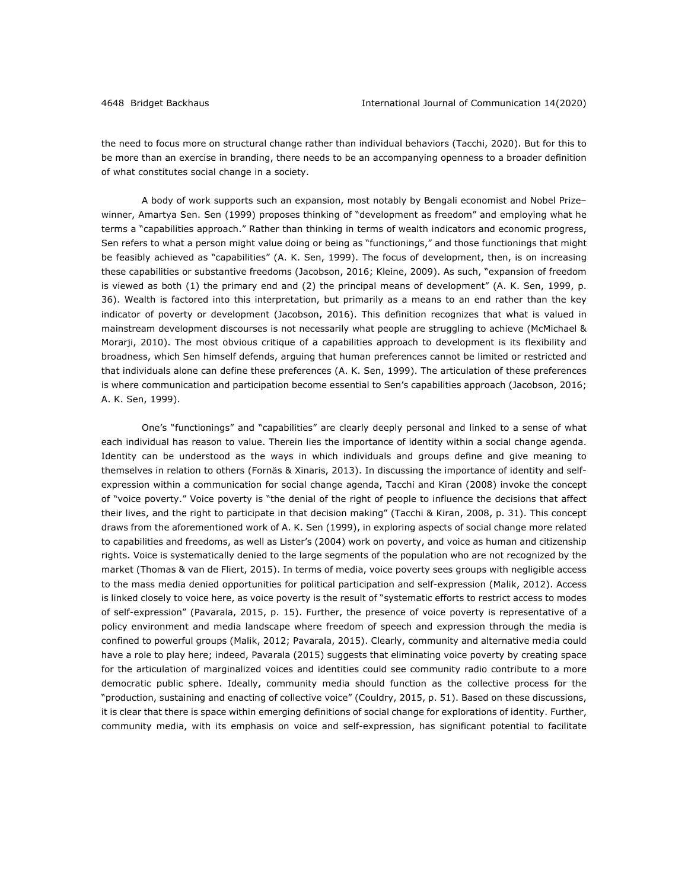the need to focus more on structural change rather than individual behaviors (Tacchi, 2020). But for this to be more than an exercise in branding, there needs to be an accompanying openness to a broader definition of what constitutes social change in a society.

A body of work supports such an expansion, most notably by Bengali economist and Nobel Prize– winner, Amartya Sen. Sen (1999) proposes thinking of "development as freedom" and employing what he terms a "capabilities approach." Rather than thinking in terms of wealth indicators and economic progress, Sen refers to what a person might value doing or being as "functionings," and those functionings that might be feasibly achieved as "capabilities" (A. K. Sen, 1999). The focus of development, then, is on increasing these capabilities or substantive freedoms (Jacobson, 2016; Kleine, 2009). As such, "expansion of freedom is viewed as both (1) the primary end and (2) the principal means of development" (A. K. Sen, 1999, p. 36). Wealth is factored into this interpretation, but primarily as a means to an end rather than the key indicator of poverty or development (Jacobson, 2016). This definition recognizes that what is valued in mainstream development discourses is not necessarily what people are struggling to achieve (McMichael & Morarji, 2010). The most obvious critique of a capabilities approach to development is its flexibility and broadness, which Sen himself defends, arguing that human preferences cannot be limited or restricted and that individuals alone can define these preferences (A. K. Sen, 1999). The articulation of these preferences is where communication and participation become essential to Sen's capabilities approach (Jacobson, 2016; A. K. Sen, 1999).

One's "functionings" and "capabilities" are clearly deeply personal and linked to a sense of what each individual has reason to value. Therein lies the importance of identity within a social change agenda. Identity can be understood as the ways in which individuals and groups define and give meaning to themselves in relation to others (Fornäs & Xinaris, 2013). In discussing the importance of identity and selfexpression within a communication for social change agenda, Tacchi and Kiran (2008) invoke the concept of "voice poverty." Voice poverty is "the denial of the right of people to influence the decisions that affect their lives, and the right to participate in that decision making" (Tacchi & Kiran, 2008, p. 31). This concept draws from the aforementioned work of A. K. Sen (1999), in exploring aspects of social change more related to capabilities and freedoms, as well as Lister's (2004) work on poverty, and voice as human and citizenship rights. Voice is systematically denied to the large segments of the population who are not recognized by the market (Thomas & van de Fliert, 2015). In terms of media, voice poverty sees groups with negligible access to the mass media denied opportunities for political participation and self-expression (Malik, 2012). Access is linked closely to voice here, as voice poverty is the result of "systematic efforts to restrict access to modes of self-expression" (Pavarala, 2015, p. 15). Further, the presence of voice poverty is representative of a policy environment and media landscape where freedom of speech and expression through the media is confined to powerful groups (Malik, 2012; Pavarala, 2015). Clearly, community and alternative media could have a role to play here; indeed, Pavarala (2015) suggests that eliminating voice poverty by creating space for the articulation of marginalized voices and identities could see community radio contribute to a more democratic public sphere. Ideally, community media should function as the collective process for the "production, sustaining and enacting of collective voice" (Couldry, 2015, p. 51). Based on these discussions, it is clear that there is space within emerging definitions of social change for explorations of identity. Further, community media, with its emphasis on voice and self-expression, has significant potential to facilitate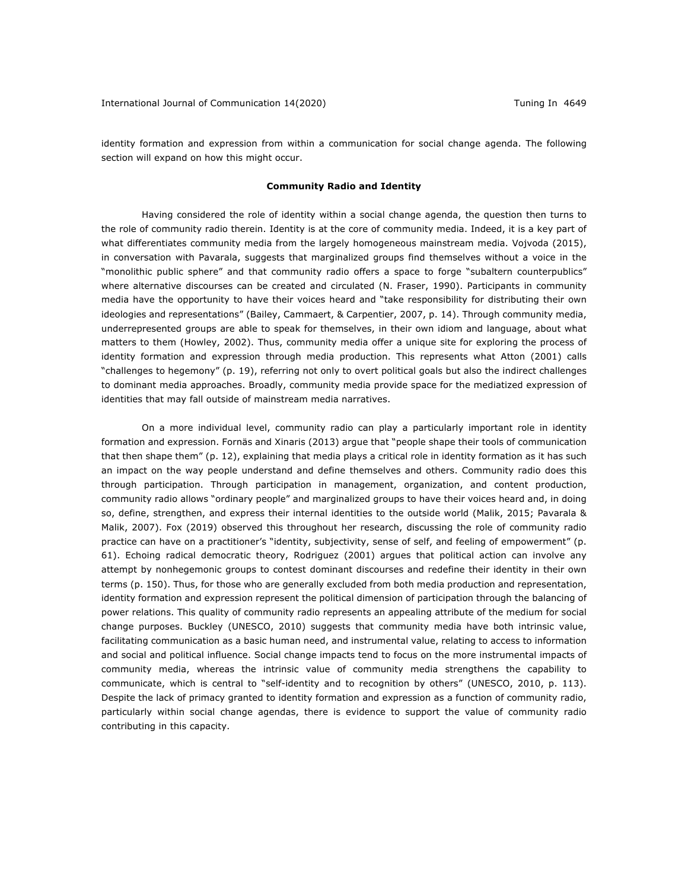identity formation and expression from within a communication for social change agenda. The following section will expand on how this might occur.

#### **Community Radio and Identity**

Having considered the role of identity within a social change agenda, the question then turns to the role of community radio therein. Identity is at the core of community media. Indeed, it is a key part of what differentiates community media from the largely homogeneous mainstream media. Vojvoda (2015), in conversation with Pavarala, suggests that marginalized groups find themselves without a voice in the "monolithic public sphere" and that community radio offers a space to forge "subaltern counterpublics" where alternative discourses can be created and circulated (N. Fraser, 1990). Participants in community media have the opportunity to have their voices heard and "take responsibility for distributing their own ideologies and representations" (Bailey, Cammaert, & Carpentier, 2007, p. 14). Through community media, underrepresented groups are able to speak for themselves, in their own idiom and language, about what matters to them (Howley, 2002). Thus, community media offer a unique site for exploring the process of identity formation and expression through media production. This represents what Atton (2001) calls "challenges to hegemony" (p. 19), referring not only to overt political goals but also the indirect challenges to dominant media approaches. Broadly, community media provide space for the mediatized expression of identities that may fall outside of mainstream media narratives.

On a more individual level, community radio can play a particularly important role in identity formation and expression. Fornäs and Xinaris (2013) argue that "people shape their tools of communication that then shape them" (p. 12), explaining that media plays a critical role in identity formation as it has such an impact on the way people understand and define themselves and others. Community radio does this through participation. Through participation in management, organization, and content production, community radio allows "ordinary people" and marginalized groups to have their voices heard and, in doing so, define, strengthen, and express their internal identities to the outside world (Malik, 2015; Pavarala & Malik, 2007). Fox (2019) observed this throughout her research, discussing the role of community radio practice can have on a practitioner's "identity, subjectivity, sense of self, and feeling of empowerment" (p. 61). Echoing radical democratic theory, Rodriguez (2001) argues that political action can involve any attempt by nonhegemonic groups to contest dominant discourses and redefine their identity in their own terms (p. 150). Thus, for those who are generally excluded from both media production and representation, identity formation and expression represent the political dimension of participation through the balancing of power relations. This quality of community radio represents an appealing attribute of the medium for social change purposes. Buckley (UNESCO, 2010) suggests that community media have both intrinsic value, facilitating communication as a basic human need, and instrumental value, relating to access to information and social and political influence. Social change impacts tend to focus on the more instrumental impacts of community media, whereas the intrinsic value of community media strengthens the capability to communicate, which is central to "self-identity and to recognition by others" (UNESCO, 2010, p. 113). Despite the lack of primacy granted to identity formation and expression as a function of community radio, particularly within social change agendas, there is evidence to support the value of community radio contributing in this capacity.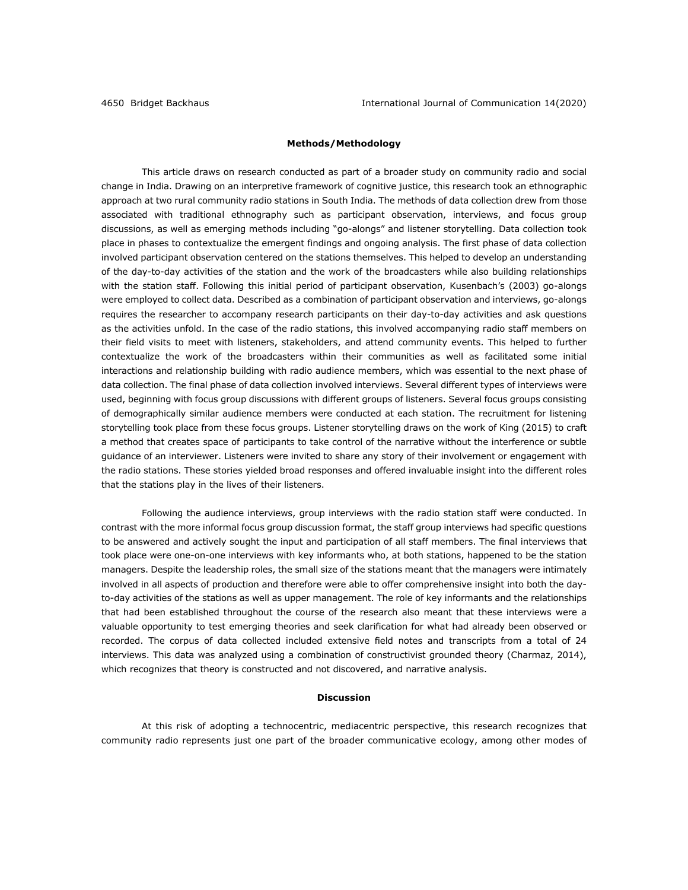# **Methods/Methodology**

This article draws on research conducted as part of a broader study on community radio and social change in India. Drawing on an interpretive framework of cognitive justice, this research took an ethnographic approach at two rural community radio stations in South India. The methods of data collection drew from those associated with traditional ethnography such as participant observation, interviews, and focus group discussions, as well as emerging methods including "go-alongs" and listener storytelling. Data collection took place in phases to contextualize the emergent findings and ongoing analysis. The first phase of data collection involved participant observation centered on the stations themselves. This helped to develop an understanding of the day-to-day activities of the station and the work of the broadcasters while also building relationships with the station staff. Following this initial period of participant observation, Kusenbach's (2003) go-alongs were employed to collect data. Described as a combination of participant observation and interviews, go-alongs requires the researcher to accompany research participants on their day-to-day activities and ask questions as the activities unfold. In the case of the radio stations, this involved accompanying radio staff members on their field visits to meet with listeners, stakeholders, and attend community events. This helped to further contextualize the work of the broadcasters within their communities as well as facilitated some initial interactions and relationship building with radio audience members, which was essential to the next phase of data collection. The final phase of data collection involved interviews. Several different types of interviews were used, beginning with focus group discussions with different groups of listeners. Several focus groups consisting of demographically similar audience members were conducted at each station. The recruitment for listening storytelling took place from these focus groups. Listener storytelling draws on the work of King (2015) to craft a method that creates space of participants to take control of the narrative without the interference or subtle guidance of an interviewer. Listeners were invited to share any story of their involvement or engagement with the radio stations. These stories yielded broad responses and offered invaluable insight into the different roles that the stations play in the lives of their listeners.

Following the audience interviews, group interviews with the radio station staff were conducted. In contrast with the more informal focus group discussion format, the staff group interviews had specific questions to be answered and actively sought the input and participation of all staff members. The final interviews that took place were one-on-one interviews with key informants who, at both stations, happened to be the station managers. Despite the leadership roles, the small size of the stations meant that the managers were intimately involved in all aspects of production and therefore were able to offer comprehensive insight into both the dayto-day activities of the stations as well as upper management. The role of key informants and the relationships that had been established throughout the course of the research also meant that these interviews were a valuable opportunity to test emerging theories and seek clarification for what had already been observed or recorded. The corpus of data collected included extensive field notes and transcripts from a total of 24 interviews. This data was analyzed using a combination of constructivist grounded theory (Charmaz, 2014), which recognizes that theory is constructed and not discovered, and narrative analysis.

# **Discussion**

At this risk of adopting a technocentric, mediacentric perspective, this research recognizes that community radio represents just one part of the broader communicative ecology, among other modes of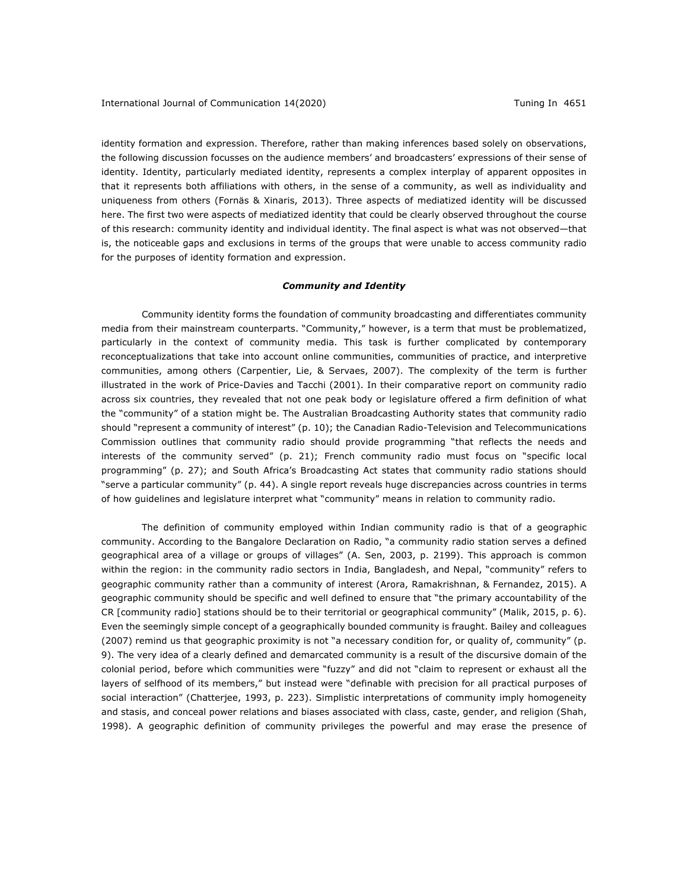identity formation and expression. Therefore, rather than making inferences based solely on observations, the following discussion focusses on the audience members' and broadcasters' expressions of their sense of identity. Identity, particularly mediated identity, represents a complex interplay of apparent opposites in that it represents both affiliations with others, in the sense of a community, as well as individuality and uniqueness from others (Fornäs & Xinaris, 2013). Three aspects of mediatized identity will be discussed here. The first two were aspects of mediatized identity that could be clearly observed throughout the course of this research: community identity and individual identity. The final aspect is what was not observed—that is, the noticeable gaps and exclusions in terms of the groups that were unable to access community radio for the purposes of identity formation and expression.

# *Community and Identity*

Community identity forms the foundation of community broadcasting and differentiates community media from their mainstream counterparts. "Community," however, is a term that must be problematized, particularly in the context of community media. This task is further complicated by contemporary reconceptualizations that take into account online communities, communities of practice, and interpretive communities, among others (Carpentier, Lie, & Servaes, 2007). The complexity of the term is further illustrated in the work of Price-Davies and Tacchi (2001). In their comparative report on community radio across six countries, they revealed that not one peak body or legislature offered a firm definition of what the "community" of a station might be. The Australian Broadcasting Authority states that community radio should "represent a community of interest" (p. 10); the Canadian Radio-Television and Telecommunications Commission outlines that community radio should provide programming "that reflects the needs and interests of the community served" (p. 21); French community radio must focus on "specific local programming" (p. 27); and South Africa's Broadcasting Act states that community radio stations should "serve a particular community" (p. 44). A single report reveals huge discrepancies across countries in terms of how guidelines and legislature interpret what "community" means in relation to community radio.

The definition of community employed within Indian community radio is that of a geographic community. According to the Bangalore Declaration on Radio, "a community radio station serves a defined geographical area of a village or groups of villages" (A. Sen, 2003, p. 2199). This approach is common within the region: in the community radio sectors in India, Bangladesh, and Nepal, "community" refers to geographic community rather than a community of interest (Arora, Ramakrishnan, & Fernandez, 2015). A geographic community should be specific and well defined to ensure that "the primary accountability of the CR [community radio] stations should be to their territorial or geographical community" (Malik, 2015, p. 6). Even the seemingly simple concept of a geographically bounded community is fraught. Bailey and colleagues (2007) remind us that geographic proximity is not "a necessary condition for, or quality of, community" (p. 9). The very idea of a clearly defined and demarcated community is a result of the discursive domain of the colonial period, before which communities were "fuzzy" and did not "claim to represent or exhaust all the layers of selfhood of its members," but instead were "definable with precision for all practical purposes of social interaction" (Chatterjee, 1993, p. 223). Simplistic interpretations of community imply homogeneity and stasis, and conceal power relations and biases associated with class, caste, gender, and religion (Shah, 1998). A geographic definition of community privileges the powerful and may erase the presence of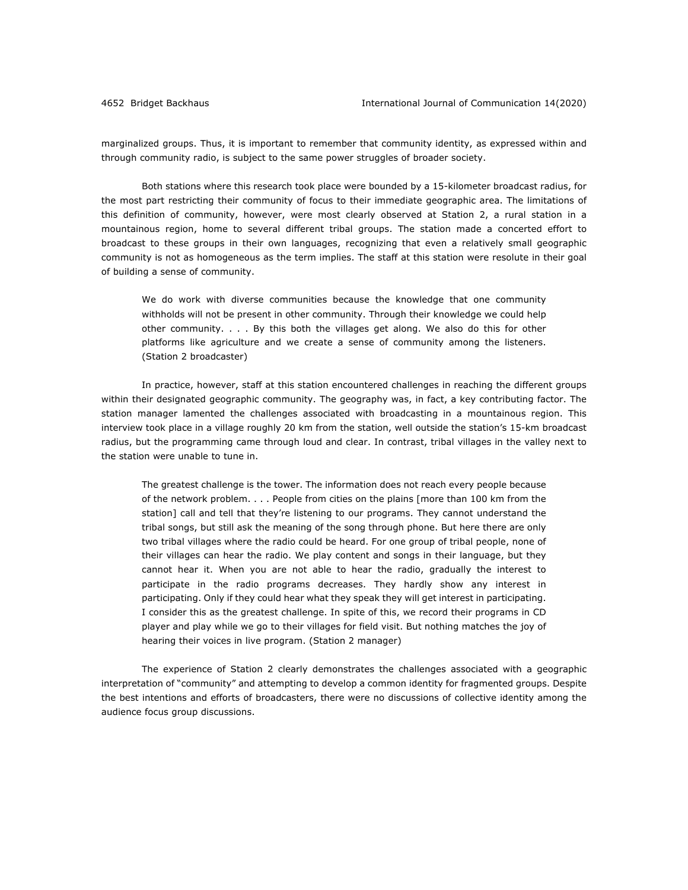marginalized groups. Thus, it is important to remember that community identity, as expressed within and through community radio, is subject to the same power struggles of broader society.

Both stations where this research took place were bounded by a 15-kilometer broadcast radius, for the most part restricting their community of focus to their immediate geographic area. The limitations of this definition of community, however, were most clearly observed at Station 2, a rural station in a mountainous region, home to several different tribal groups. The station made a concerted effort to broadcast to these groups in their own languages, recognizing that even a relatively small geographic community is not as homogeneous as the term implies. The staff at this station were resolute in their goal of building a sense of community.

We do work with diverse communities because the knowledge that one community withholds will not be present in other community. Through their knowledge we could help other community. . . . By this both the villages get along. We also do this for other platforms like agriculture and we create a sense of community among the listeners. (Station 2 broadcaster)

In practice, however, staff at this station encountered challenges in reaching the different groups within their designated geographic community. The geography was, in fact, a key contributing factor. The station manager lamented the challenges associated with broadcasting in a mountainous region. This interview took place in a village roughly 20 km from the station, well outside the station's 15-km broadcast radius, but the programming came through loud and clear. In contrast, tribal villages in the valley next to the station were unable to tune in.

The greatest challenge is the tower. The information does not reach every people because of the network problem. . . . People from cities on the plains [more than 100 km from the station] call and tell that they're listening to our programs. They cannot understand the tribal songs, but still ask the meaning of the song through phone. But here there are only two tribal villages where the radio could be heard. For one group of tribal people, none of their villages can hear the radio. We play content and songs in their language, but they cannot hear it. When you are not able to hear the radio, gradually the interest to participate in the radio programs decreases. They hardly show any interest in participating. Only if they could hear what they speak they will get interest in participating. I consider this as the greatest challenge. In spite of this, we record their programs in CD player and play while we go to their villages for field visit. But nothing matches the joy of hearing their voices in live program. (Station 2 manager)

The experience of Station 2 clearly demonstrates the challenges associated with a geographic interpretation of "community" and attempting to develop a common identity for fragmented groups. Despite the best intentions and efforts of broadcasters, there were no discussions of collective identity among the audience focus group discussions.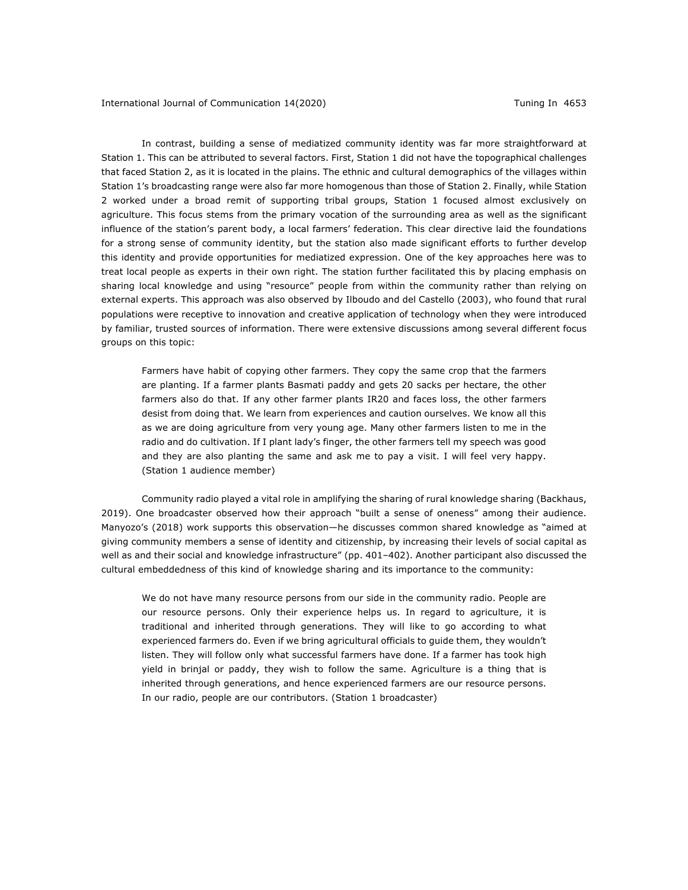In contrast, building a sense of mediatized community identity was far more straightforward at Station 1. This can be attributed to several factors. First, Station 1 did not have the topographical challenges that faced Station 2, as it is located in the plains. The ethnic and cultural demographics of the villages within Station 1's broadcasting range were also far more homogenous than those of Station 2. Finally, while Station 2 worked under a broad remit of supporting tribal groups, Station 1 focused almost exclusively on agriculture. This focus stems from the primary vocation of the surrounding area as well as the significant influence of the station's parent body, a local farmers' federation. This clear directive laid the foundations for a strong sense of community identity, but the station also made significant efforts to further develop this identity and provide opportunities for mediatized expression. One of the key approaches here was to treat local people as experts in their own right. The station further facilitated this by placing emphasis on sharing local knowledge and using "resource" people from within the community rather than relying on external experts. This approach was also observed by Ilboudo and del Castello (2003), who found that rural populations were receptive to innovation and creative application of technology when they were introduced by familiar, trusted sources of information. There were extensive discussions among several different focus groups on this topic:

Farmers have habit of copying other farmers. They copy the same crop that the farmers are planting. If a farmer plants Basmati paddy and gets 20 sacks per hectare, the other farmers also do that. If any other farmer plants IR20 and faces loss, the other farmers desist from doing that. We learn from experiences and caution ourselves. We know all this as we are doing agriculture from very young age. Many other farmers listen to me in the radio and do cultivation. If I plant lady's finger, the other farmers tell my speech was good and they are also planting the same and ask me to pay a visit. I will feel very happy. (Station 1 audience member)

Community radio played a vital role in amplifying the sharing of rural knowledge sharing (Backhaus, 2019). One broadcaster observed how their approach "built a sense of oneness" among their audience. Manyozo's (2018) work supports this observation—he discusses common shared knowledge as "aimed at giving community members a sense of identity and citizenship, by increasing their levels of social capital as well as and their social and knowledge infrastructure" (pp. 401–402). Another participant also discussed the cultural embeddedness of this kind of knowledge sharing and its importance to the community:

We do not have many resource persons from our side in the community radio. People are our resource persons. Only their experience helps us. In regard to agriculture, it is traditional and inherited through generations. They will like to go according to what experienced farmers do. Even if we bring agricultural officials to guide them, they wouldn't listen. They will follow only what successful farmers have done. If a farmer has took high yield in brinjal or paddy, they wish to follow the same. Agriculture is a thing that is inherited through generations, and hence experienced farmers are our resource persons. In our radio, people are our contributors. (Station 1 broadcaster)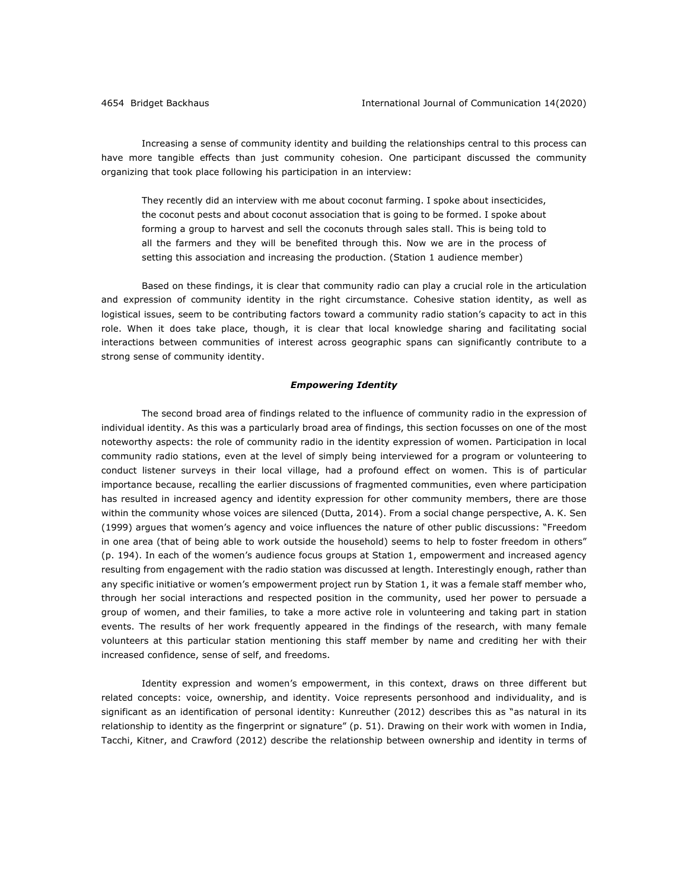Increasing a sense of community identity and building the relationships central to this process can have more tangible effects than just community cohesion. One participant discussed the community organizing that took place following his participation in an interview:

They recently did an interview with me about coconut farming. I spoke about insecticides, the coconut pests and about coconut association that is going to be formed. I spoke about forming a group to harvest and sell the coconuts through sales stall. This is being told to all the farmers and they will be benefited through this. Now we are in the process of setting this association and increasing the production. (Station 1 audience member)

Based on these findings, it is clear that community radio can play a crucial role in the articulation and expression of community identity in the right circumstance. Cohesive station identity, as well as logistical issues, seem to be contributing factors toward a community radio station's capacity to act in this role. When it does take place, though, it is clear that local knowledge sharing and facilitating social interactions between communities of interest across geographic spans can significantly contribute to a strong sense of community identity.

#### *Empowering Identity*

The second broad area of findings related to the influence of community radio in the expression of individual identity. As this was a particularly broad area of findings, this section focusses on one of the most noteworthy aspects: the role of community radio in the identity expression of women. Participation in local community radio stations, even at the level of simply being interviewed for a program or volunteering to conduct listener surveys in their local village, had a profound effect on women. This is of particular importance because, recalling the earlier discussions of fragmented communities, even where participation has resulted in increased agency and identity expression for other community members, there are those within the community whose voices are silenced (Dutta, 2014). From a social change perspective, A. K. Sen (1999) argues that women's agency and voice influences the nature of other public discussions: "Freedom in one area (that of being able to work outside the household) seems to help to foster freedom in others" (p. 194). In each of the women's audience focus groups at Station 1, empowerment and increased agency resulting from engagement with the radio station was discussed at length. Interestingly enough, rather than any specific initiative or women's empowerment project run by Station 1, it was a female staff member who, through her social interactions and respected position in the community, used her power to persuade a group of women, and their families, to take a more active role in volunteering and taking part in station events. The results of her work frequently appeared in the findings of the research, with many female volunteers at this particular station mentioning this staff member by name and crediting her with their increased confidence, sense of self, and freedoms.

Identity expression and women's empowerment, in this context, draws on three different but related concepts: voice, ownership, and identity. Voice represents personhood and individuality, and is significant as an identification of personal identity: Kunreuther (2012) describes this as "as natural in its relationship to identity as the fingerprint or signature" (p. 51). Drawing on their work with women in India, Tacchi, Kitner, and Crawford (2012) describe the relationship between ownership and identity in terms of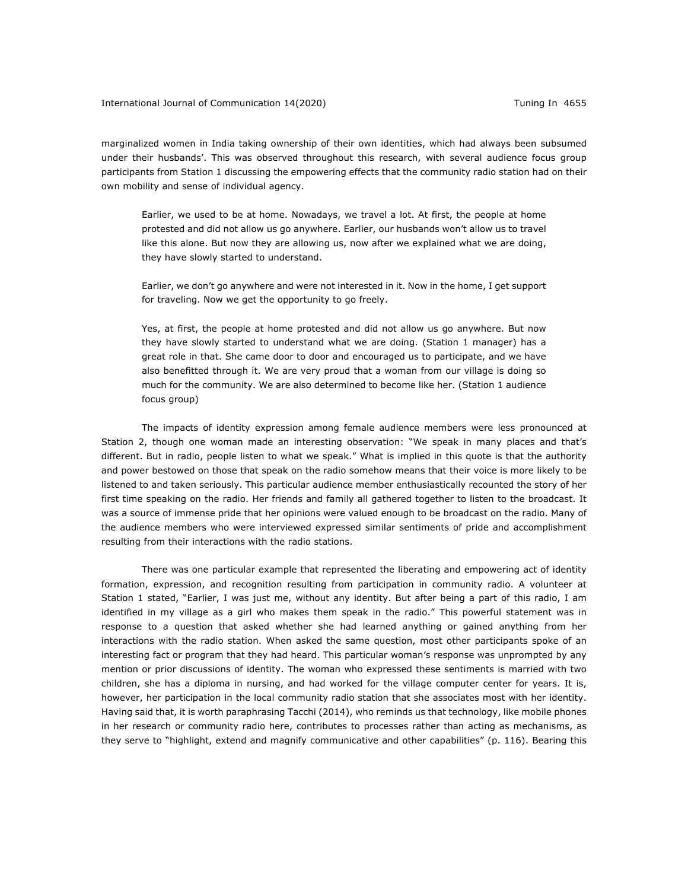marginalized women in India taking ownership of their own identities, which had always been subsumed under their husbands'. This was observed throughout this research, with several audience focus group participants from Station 1 discussing the empowering effects that the community radio station had on their own mobility and sense of individual agency.

Earlier, we used to be at home. Nowadays, we travel a lot. At first, the people at home protested and did not allow us go anywhere. Earlier, our husbands won't allow us to travel like this alone. But now they are allowing us, now after we explained what we are doing, they have slowly started to understand.

Earlier, we don't go anywhere and were not interested in it. Now in the home, I get support for traveling. Now we get the opportunity to go freely.

Yes, at first, the people at home protested and did not allow us go anywhere. But now they have slowly started to understand what we are doing. (Station 1 manager) has a great role in that. She came door to door and encouraged us to participate, and we have also benefitted through it. We are very proud that a woman from our village is doing so much for the community. We are also determined to become like her. (Station 1 audience focus group)

The impacts of identity expression among female audience members were less pronounced at Station 2, though one woman made an interesting observation: "We speak in many places and that's different. But in radio, people listen to what we speak." What is implied in this quote is that the authority and power bestowed on those that speak on the radio somehow means that their voice is more likely to be listened to and taken seriously. This particular audience member enthusiastically recounted the story of her first time speaking on the radio. Her friends and family all gathered together to listen to the broadcast. It was a source of immense pride that her opinions were valued enough to be broadcast on the radio. Many of the audience members who were interviewed expressed similar sentiments of pride and accomplishment resulting from their interactions with the radio stations.

There was one particular example that represented the liberating and empowering act of identity formation, expression, and recognition resulting from participation in community radio. A volunteer at Station 1 stated, "Earlier, I was just me, without any identity. But after being a part of this radio, I am identified in my village as a girl who makes them speak in the radio." This powerful statement was in response to a question that asked whether she had learned anything or gained anything from her interactions with the radio station. When asked the same question, most other participants spoke of an interesting fact or program that they had heard. This particular woman's response was unprompted by any mention or prior discussions of identity. The woman who expressed these sentiments is married with two children, she has a diploma in nursing, and had worked for the village computer center for years. It is, however, her participation in the local community radio station that she associates most with her identity. Having said that, it is worth paraphrasing Tacchi (2014), who reminds us that technology, like mobile phones in her research or community radio here, contributes to processes rather than acting as mechanisms, as they serve to "highlight, extend and magnify communicative and other capabilities" (p. 116). Bearing this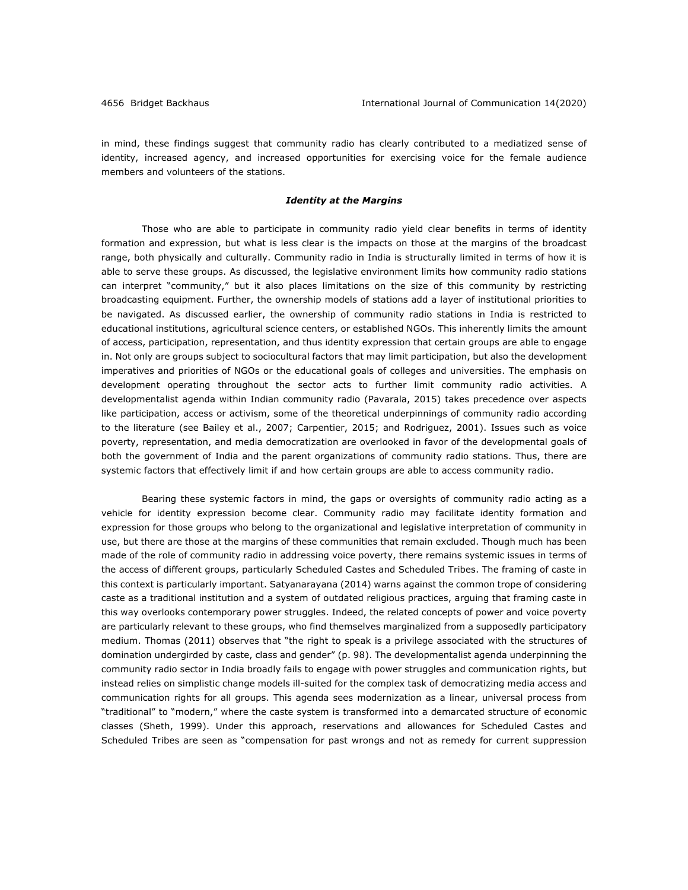in mind, these findings suggest that community radio has clearly contributed to a mediatized sense of identity, increased agency, and increased opportunities for exercising voice for the female audience members and volunteers of the stations.

### *Identity at the Margins*

Those who are able to participate in community radio yield clear benefits in terms of identity formation and expression, but what is less clear is the impacts on those at the margins of the broadcast range, both physically and culturally. Community radio in India is structurally limited in terms of how it is able to serve these groups. As discussed, the legislative environment limits how community radio stations can interpret "community," but it also places limitations on the size of this community by restricting broadcasting equipment. Further, the ownership models of stations add a layer of institutional priorities to be navigated. As discussed earlier, the ownership of community radio stations in India is restricted to educational institutions, agricultural science centers, or established NGOs. This inherently limits the amount of access, participation, representation, and thus identity expression that certain groups are able to engage in. Not only are groups subject to sociocultural factors that may limit participation, but also the development imperatives and priorities of NGOs or the educational goals of colleges and universities. The emphasis on development operating throughout the sector acts to further limit community radio activities. A developmentalist agenda within Indian community radio (Pavarala, 2015) takes precedence over aspects like participation, access or activism, some of the theoretical underpinnings of community radio according to the literature (see Bailey et al., 2007; Carpentier, 2015; and Rodriguez, 2001). Issues such as voice poverty, representation, and media democratization are overlooked in favor of the developmental goals of both the government of India and the parent organizations of community radio stations. Thus, there are systemic factors that effectively limit if and how certain groups are able to access community radio.

Bearing these systemic factors in mind, the gaps or oversights of community radio acting as a vehicle for identity expression become clear. Community radio may facilitate identity formation and expression for those groups who belong to the organizational and legislative interpretation of community in use, but there are those at the margins of these communities that remain excluded. Though much has been made of the role of community radio in addressing voice poverty, there remains systemic issues in terms of the access of different groups, particularly Scheduled Castes and Scheduled Tribes. The framing of caste in this context is particularly important. Satyanarayana (2014) warns against the common trope of considering caste as a traditional institution and a system of outdated religious practices, arguing that framing caste in this way overlooks contemporary power struggles. Indeed, the related concepts of power and voice poverty are particularly relevant to these groups, who find themselves marginalized from a supposedly participatory medium. Thomas (2011) observes that "the right to speak is a privilege associated with the structures of domination undergirded by caste, class and gender" (p. 98). The developmentalist agenda underpinning the community radio sector in India broadly fails to engage with power struggles and communication rights, but instead relies on simplistic change models ill-suited for the complex task of democratizing media access and communication rights for all groups. This agenda sees modernization as a linear, universal process from "traditional" to "modern," where the caste system is transformed into a demarcated structure of economic classes (Sheth, 1999). Under this approach, reservations and allowances for Scheduled Castes and Scheduled Tribes are seen as "compensation for past wrongs and not as remedy for current suppression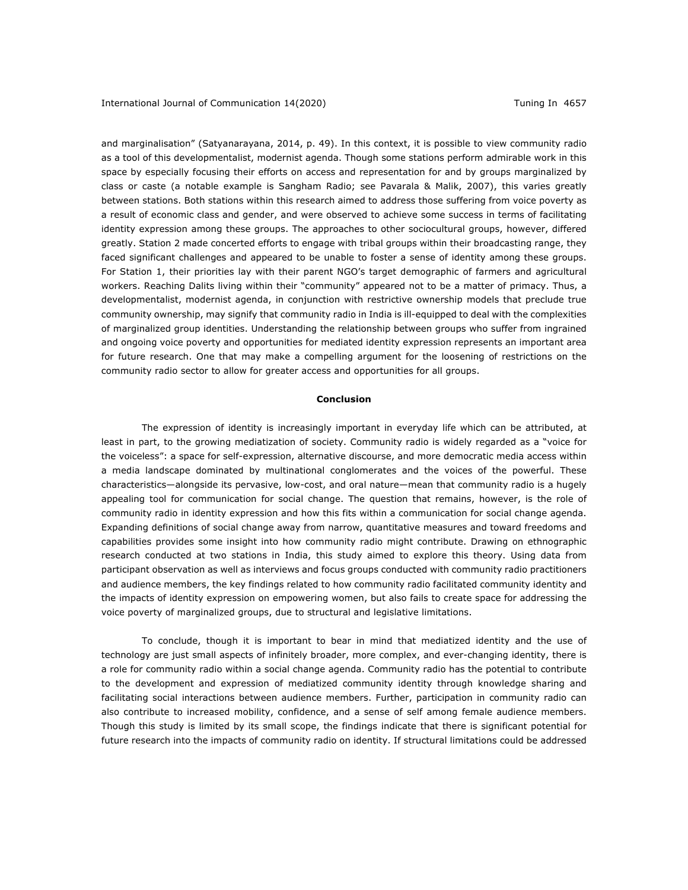and marginalisation" (Satyanarayana, 2014, p. 49). In this context, it is possible to view community radio as a tool of this developmentalist, modernist agenda. Though some stations perform admirable work in this space by especially focusing their efforts on access and representation for and by groups marginalized by class or caste (a notable example is Sangham Radio; see Pavarala & Malik, 2007), this varies greatly between stations. Both stations within this research aimed to address those suffering from voice poverty as a result of economic class and gender, and were observed to achieve some success in terms of facilitating identity expression among these groups. The approaches to other sociocultural groups, however, differed greatly. Station 2 made concerted efforts to engage with tribal groups within their broadcasting range, they faced significant challenges and appeared to be unable to foster a sense of identity among these groups. For Station 1, their priorities lay with their parent NGO's target demographic of farmers and agricultural workers. Reaching Dalits living within their "community" appeared not to be a matter of primacy. Thus, a developmentalist, modernist agenda, in conjunction with restrictive ownership models that preclude true community ownership, may signify that community radio in India is ill-equipped to deal with the complexities of marginalized group identities. Understanding the relationship between groups who suffer from ingrained and ongoing voice poverty and opportunities for mediated identity expression represents an important area for future research. One that may make a compelling argument for the loosening of restrictions on the community radio sector to allow for greater access and opportunities for all groups.

#### **Conclusion**

The expression of identity is increasingly important in everyday life which can be attributed, at least in part, to the growing mediatization of society. Community radio is widely regarded as a "voice for the voiceless": a space for self-expression, alternative discourse, and more democratic media access within a media landscape dominated by multinational conglomerates and the voices of the powerful. These characteristics—alongside its pervasive, low-cost, and oral nature—mean that community radio is a hugely appealing tool for communication for social change. The question that remains, however, is the role of community radio in identity expression and how this fits within a communication for social change agenda. Expanding definitions of social change away from narrow, quantitative measures and toward freedoms and capabilities provides some insight into how community radio might contribute. Drawing on ethnographic research conducted at two stations in India, this study aimed to explore this theory. Using data from participant observation as well as interviews and focus groups conducted with community radio practitioners and audience members, the key findings related to how community radio facilitated community identity and the impacts of identity expression on empowering women, but also fails to create space for addressing the voice poverty of marginalized groups, due to structural and legislative limitations.

To conclude, though it is important to bear in mind that mediatized identity and the use of technology are just small aspects of infinitely broader, more complex, and ever-changing identity, there is a role for community radio within a social change agenda. Community radio has the potential to contribute to the development and expression of mediatized community identity through knowledge sharing and facilitating social interactions between audience members. Further, participation in community radio can also contribute to increased mobility, confidence, and a sense of self among female audience members. Though this study is limited by its small scope, the findings indicate that there is significant potential for future research into the impacts of community radio on identity. If structural limitations could be addressed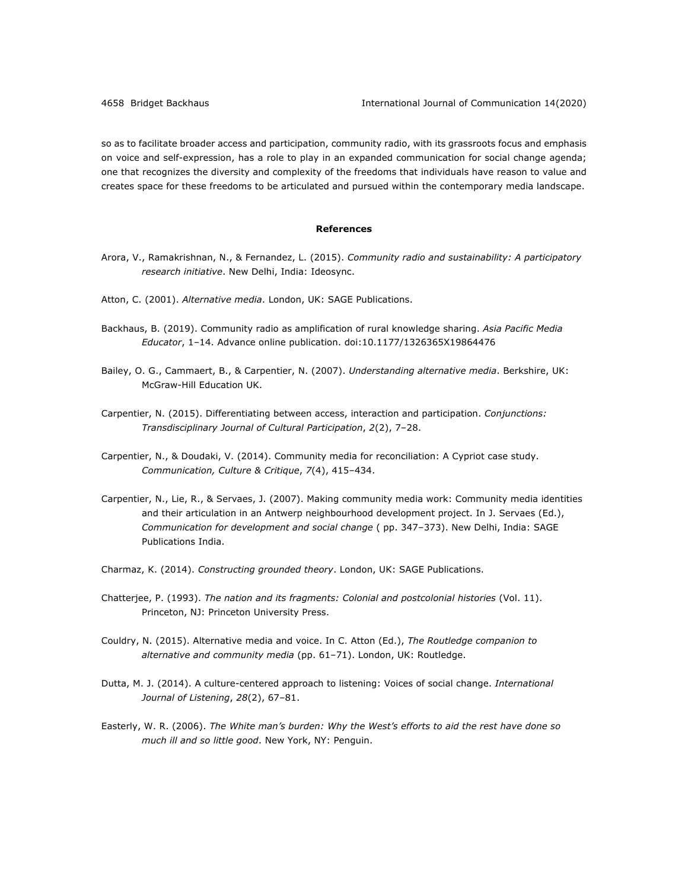so as to facilitate broader access and participation, community radio, with its grassroots focus and emphasis on voice and self-expression, has a role to play in an expanded communication for social change agenda; one that recognizes the diversity and complexity of the freedoms that individuals have reason to value and creates space for these freedoms to be articulated and pursued within the contemporary media landscape.

## **References**

- Arora, V., Ramakrishnan, N., & Fernandez, L. (2015). *Community radio and sustainability: A participatory research initiative*. New Delhi, India: Ideosync.
- Atton, C. (2001). *Alternative media*. London, UK: SAGE Publications.
- Backhaus, B. (2019). Community radio as amplification of rural knowledge sharing. *Asia Pacific Media Educator*, 1–14. Advance online publication. doi:10.1177/1326365X19864476
- Bailey, O. G., Cammaert, B., & Carpentier, N. (2007). *Understanding alternative media*. Berkshire, UK: McGraw-Hill Education UK.
- Carpentier, N. (2015). Differentiating between access, interaction and participation. *Conjunctions: Transdisciplinary Journal of Cultural Participation*, *2*(2), 7–28.
- Carpentier, N., & Doudaki, V. (2014). Community media for reconciliation: A Cypriot case study. *Communication, Culture & Critique*, *7*(4), 415–434.
- Carpentier, N., Lie, R., & Servaes, J. (2007). Making community media work: Community media identities and their articulation in an Antwerp neighbourhood development project. In J. Servaes (Ed.), *Communication for development and social change* ( pp. 347‒373). New Delhi, India: SAGE Publications India.
- Charmaz, K. (2014). *Constructing grounded theory*. London, UK: SAGE Publications.
- Chatterjee, P. (1993). *The nation and its fragments: Colonial and postcolonial histories* (Vol. 11). Princeton, NJ: Princeton University Press.
- Couldry, N. (2015). Alternative media and voice. In C. Atton (Ed.), *The Routledge companion to alternative and community media* (pp. 61–71). London, UK: Routledge.
- Dutta, M. J. (2014). A culture-centered approach to listening: Voices of social change. *International Journal of Listening*, *28*(2), 67–81.
- Easterly, W. R. (2006). *The White man's burden: Why the West's efforts to aid the rest have done so much ill and so little good*. New York, NY: Penguin.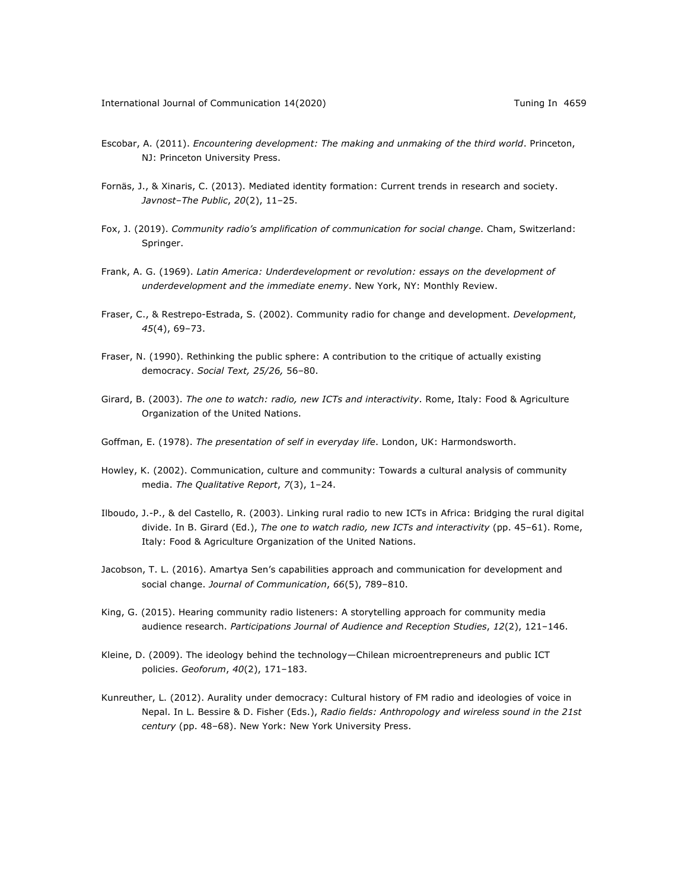- Escobar, A. (2011). *Encountering development: The making and unmaking of the third world*. Princeton, NJ: Princeton University Press.
- Fornäs, J., & Xinaris, C. (2013). Mediated identity formation: Current trends in research and society. *Javnost–The Public*, *20*(2), 11–25.
- Fox, J. (2019). *Community radio's amplification of communication for social change*. Cham, Switzerland: Springer.
- Frank, A. G. (1969). *Latin America: Underdevelopment or revolution: essays on the development of underdevelopment and the immediate enemy*. New York, NY: Monthly Review.
- Fraser, C., & Restrepo-Estrada, S. (2002). Community radio for change and development. *Development*, *45*(4), 69–73.
- Fraser, N. (1990). Rethinking the public sphere: A contribution to the critique of actually existing democracy. *Social Text, 25/26,* 56–80.
- Girard, B. (2003). *The one to watch: radio, new ICTs and interactivity*. Rome, Italy: Food & Agriculture Organization of the United Nations.
- Goffman, E. (1978). *The presentation of self in everyday life*. London, UK: Harmondsworth.
- Howley, K. (2002). Communication, culture and community: Towards a cultural analysis of community media. *The Qualitative Report*, *7*(3), 1–24.
- Ilboudo, J.-P., & del Castello, R. (2003). Linking rural radio to new ICTs in Africa: Bridging the rural digital divide. In B. Girard (Ed.), *The one to watch radio, new ICTs and interactivity* (pp. 45–61). Rome, Italy: Food & Agriculture Organization of the United Nations.
- Jacobson, T. L. (2016). Amartya Sen's capabilities approach and communication for development and social change. *Journal of Communication*, *66*(5), 789–810.
- King, G. (2015). Hearing community radio listeners: A storytelling approach for community media audience research. *Participations Journal of Audience and Reception Studies*, *12*(2), 121–146.
- Kleine, D. (2009). The ideology behind the technology—Chilean microentrepreneurs and public ICT policies. *Geoforum*, *40*(2), 171–183.
- Kunreuther, L. (2012). Aurality under democracy: Cultural history of FM radio and ideologies of voice in Nepal. In L. Bessire & D. Fisher (Eds.), *Radio fields: Anthropology and wireless sound in the 21st century* (pp. 48–68). New York: New York University Press.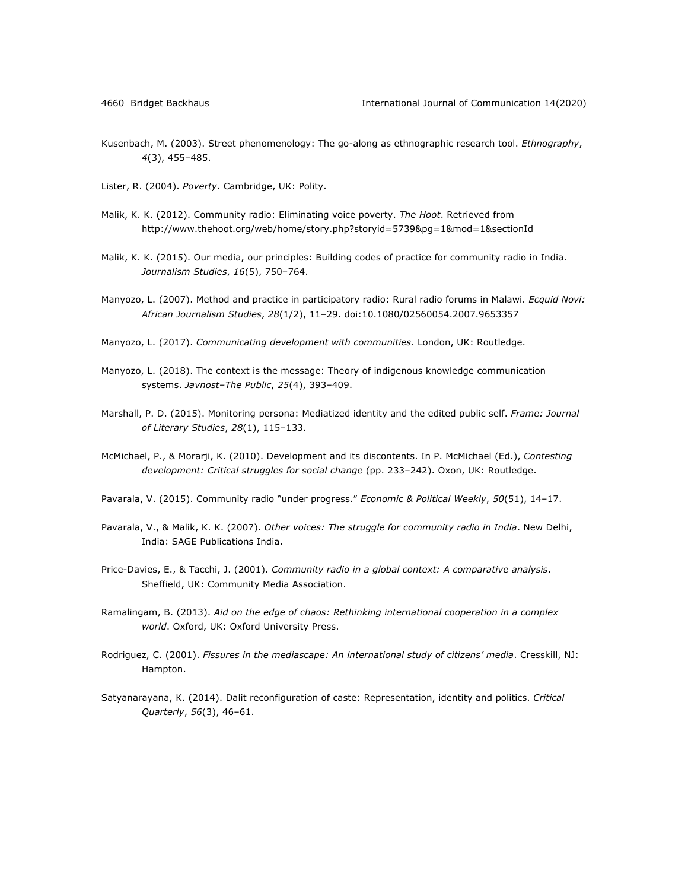- Kusenbach, M. (2003). Street phenomenology: The go-along as ethnographic research tool. *Ethnography*, *4*(3), 455–485.
- Lister, R. (2004). *Poverty*. Cambridge, UK: Polity.
- Malik, K. K. (2012). Community radio: Eliminating voice poverty. *The Hoot*. Retrieved from http://www.thehoot.org/web/home/story.php?storyid=5739&pg=1&mod=1&sectionId
- Malik, K. K. (2015). Our media, our principles: Building codes of practice for community radio in India. *Journalism Studies*, *16*(5), 750–764.
- Manyozo, L. (2007). Method and practice in participatory radio: Rural radio forums in Malawi. *Ecquid Novi: African Journalism Studies*, *28*(1/2), 11–29. doi:10.1080/02560054.2007.9653357
- Manyozo, L. (2017). *Communicating development with communities*. London, UK: Routledge.
- Manyozo, L. (2018). The context is the message: Theory of indigenous knowledge communication systems. *Javnost–The Public*, *25*(4), 393–409.
- Marshall, P. D. (2015). Monitoring persona: Mediatized identity and the edited public self. *Frame: Journal of Literary Studies*, *28*(1), 115–133.
- McMichael, P., & Morarji, K. (2010). Development and its discontents. In P. McMichael (Ed.), *Contesting development: Critical struggles for social change* (pp. 233–242). Oxon, UK: Routledge.
- Pavarala, V. (2015). Community radio "under progress." *Economic & Political Weekly*, *50*(51), 14–17.
- Pavarala, V., & Malik, K. K. (2007). *Other voices: The struggle for community radio in India*. New Delhi, India: SAGE Publications India.
- Price-Davies, E., & Tacchi, J. (2001). *Community radio in a global context: A comparative analysis*. Sheffield, UK: Community Media Association.
- Ramalingam, B. (2013). *Aid on the edge of chaos: Rethinking international cooperation in a complex world*. Oxford, UK: Oxford University Press.
- Rodriguez, C. (2001). *Fissures in the mediascape: An international study of citizens' media*. Cresskill, NJ: Hampton.
- Satyanarayana, K. (2014). Dalit reconfiguration of caste: Representation, identity and politics. *Critical Quarterly*, *56*(3), 46–61.